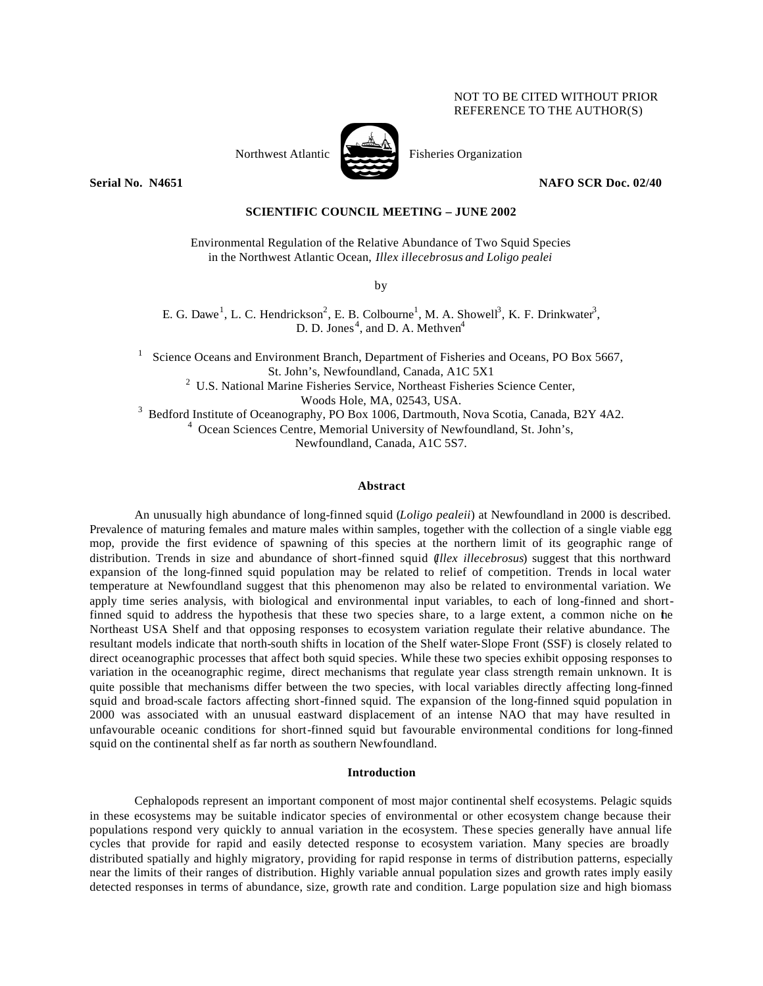## NOT TO BE CITED WITHOUT PRIOR REFERENCE TO THE AUTHOR(S)



Northwest Atlantic Fisheries Organization

**Serial No. 14651 NAFO SCR Doc. 02/40 NAFO SCR Doc. 02/40** 

# **SCIENTIFIC COUNCIL MEETING – JUNE 2002**

Environmental Regulation of the Relative Abundance of Two Squid Species in the Northwest Atlantic Ocean, *Illex illecebrosus and Loligo pealei*

by

E. G. Dawe<sup>1</sup>, L. C. Hendrickson<sup>2</sup>, E. B. Colbourne<sup>1</sup>, M. A. Showell<sup>3</sup>, K. F. Drinkwater<sup>3</sup>, D. D. Jones<sup>4</sup>, and D. A. Methven<sup>4</sup>

Science Oceans and Environment Branch, Department of Fisheries and Oceans, PO Box 5667, St. John's, Newfoundland, Canada, A1C 5X1 <sup>2</sup> U.S. National Marine Fisheries Service, Northeast Fisheries Science Center, Woods Hole, MA, 02543, USA. <sup>3</sup> Bedford Institute of Oceanography, PO Box 1006, Dartmouth, Nova Scotia, Canada, B2Y 4A2.

4 Ocean Sciences Centre, Memorial University of Newfoundland, St. John's,

Newfoundland, Canada, A1C 5S7.

## **Abstract**

An unusually high abundance of long-finned squid (*Loligo pealeii*) at Newfoundland in 2000 is described. Prevalence of maturing females and mature males within samples, together with the collection of a single viable egg mop, provide the first evidence of spawning of this species at the northern limit of its geographic range of distribution. Trends in size and abundance of short-finned squid (*Illex illecebrosus*) suggest that this northward expansion of the long-finned squid population may be related to relief of competition. Trends in local water temperature at Newfoundland suggest that this phenomenon may also be related to environmental variation. We apply time series analysis, with biological and environmental input variables, to each of long-finned and shortfinned squid to address the hypothesis that these two species share, to a large extent, a common niche on the Northeast USA Shelf and that opposing responses to ecosystem variation regulate their relative abundance. The resultant models indicate that north-south shifts in location of the Shelf water-Slope Front (SSF) is closely related to direct oceanographic processes that affect both squid species. While these two species exhibit opposing responses to variation in the oceanographic regime, direct mechanisms that regulate year class strength remain unknown. It is quite possible that mechanisms differ between the two species, with local variables directly affecting long-finned squid and broad-scale factors affecting short-finned squid. The expansion of the long-finned squid population in 2000 was associated with an unusual eastward displacement of an intense NAO that may have resulted in unfavourable oceanic conditions for short-finned squid but favourable environmental conditions for long-finned squid on the continental shelf as far north as southern Newfoundland.

## **Introduction**

Cephalopods represent an important component of most major continental shelf ecosystems. Pelagic squids in these ecosystems may be suitable indicator species of environmental or other ecosystem change because their populations respond very quickly to annual variation in the ecosystem. These species generally have annual life cycles that provide for rapid and easily detected response to ecosystem variation. Many species are broadly distributed spatially and highly migratory, providing for rapid response in terms of distribution patterns, especially near the limits of their ranges of distribution. Highly variable annual population sizes and growth rates imply easily detected responses in terms of abundance, size, growth rate and condition. Large population size and high biomass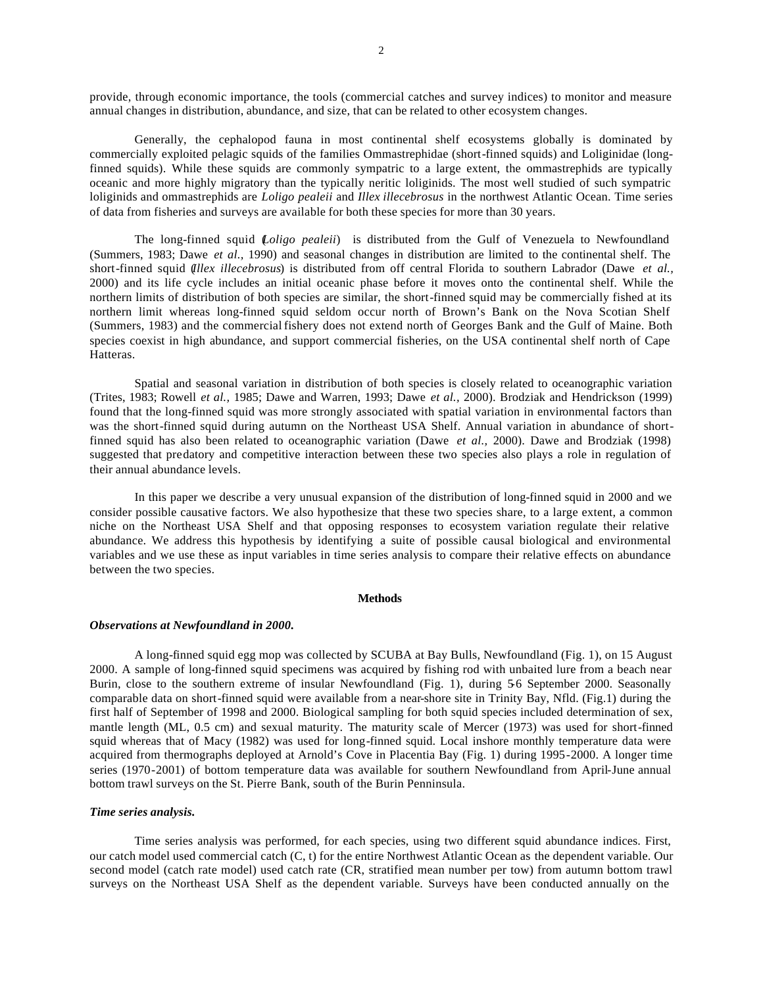provide, through economic importance, the tools (commercial catches and survey indices) to monitor and measure annual changes in distribution, abundance, and size, that can be related to other ecosystem changes.

Generally, the cephalopod fauna in most continental shelf ecosystems globally is dominated by commercially exploited pelagic squids of the families Ommastrephidae (short-finned squids) and Loliginidae (longfinned squids). While these squids are commonly sympatric to a large extent, the ommastrephids are typically oceanic and more highly migratory than the typically neritic loliginids. The most well studied of such sympatric loliginids and ommastrephids are *Loligo pealeii* and *Illex illecebrosus* in the northwest Atlantic Ocean. Time series of data from fisheries and surveys are available for both these species for more than 30 years.

The long-finned squid (*Loligo pealeii*) is distributed from the Gulf of Venezuela to Newfoundland (Summers, 1983; Dawe *et al.,* 1990) and seasonal changes in distribution are limited to the continental shelf. The short-finned squid (*Illex illecebrosus*) is distributed from off central Florida to southern Labrador (Dawe *et al.,* 2000) and its life cycle includes an initial oceanic phase before it moves onto the continental shelf. While the northern limits of distribution of both species are similar, the short-finned squid may be commercially fished at its northern limit whereas long-finned squid seldom occur north of Brown's Bank on the Nova Scotian Shelf (Summers, 1983) and the commercial fishery does not extend north of Georges Bank and the Gulf of Maine. Both species coexist in high abundance, and support commercial fisheries, on the USA continental shelf north of Cape Hatteras.

Spatial and seasonal variation in distribution of both species is closely related to oceanographic variation (Trites, 1983; Rowell *et al.,* 1985; Dawe and Warren, 1993; Dawe *et al.,* 2000). Brodziak and Hendrickson (1999) found that the long-finned squid was more strongly associated with spatial variation in environmental factors than was the short-finned squid during autumn on the Northeast USA Shelf. Annual variation in abundance of shortfinned squid has also been related to oceanographic variation (Dawe *et al.,* 2000). Dawe and Brodziak (1998) suggested that predatory and competitive interaction between these two species also plays a role in regulation of their annual abundance levels.

In this paper we describe a very unusual expansion of the distribution of long-finned squid in 2000 and we consider possible causative factors. We also hypothesize that these two species share, to a large extent, a common niche on the Northeast USA Shelf and that opposing responses to ecosystem variation regulate their relative abundance. We address this hypothesis by identifying a suite of possible causal biological and environmental variables and we use these as input variables in time series analysis to compare their relative effects on abundance between the two species.

#### **Methods**

## *Observations at Newfoundland in 2000.*

A long-finned squid egg mop was collected by SCUBA at Bay Bulls, Newfoundland (Fig. 1), on 15 August 2000. A sample of long-finned squid specimens was acquired by fishing rod with unbaited lure from a beach near Burin, close to the southern extreme of insular Newfoundland (Fig. 1), during 5-6 September 2000. Seasonally comparable data on short-finned squid were available from a near-shore site in Trinity Bay, Nfld. (Fig.1) during the first half of September of 1998 and 2000. Biological sampling for both squid species included determination of sex, mantle length (ML, 0.5 cm) and sexual maturity. The maturity scale of Mercer (1973) was used for short-finned squid whereas that of Macy (1982) was used for long-finned squid. Local inshore monthly temperature data were acquired from thermographs deployed at Arnold's Cove in Placentia Bay (Fig. 1) during 1995-2000. A longer time series (1970-2001) of bottom temperature data was available for southern Newfoundland from April-June annual bottom trawl surveys on the St. Pierre Bank, south of the Burin Penninsula.

## *Time series analysis.*

Time series analysis was performed, for each species, using two different squid abundance indices. First, our catch model used commercial catch (C, t) for the entire Northwest Atlantic Ocean as the dependent variable. Our second model (catch rate model) used catch rate (CR, stratified mean number per tow) from autumn bottom trawl surveys on the Northeast USA Shelf as the dependent variable. Surveys have been conducted annually on the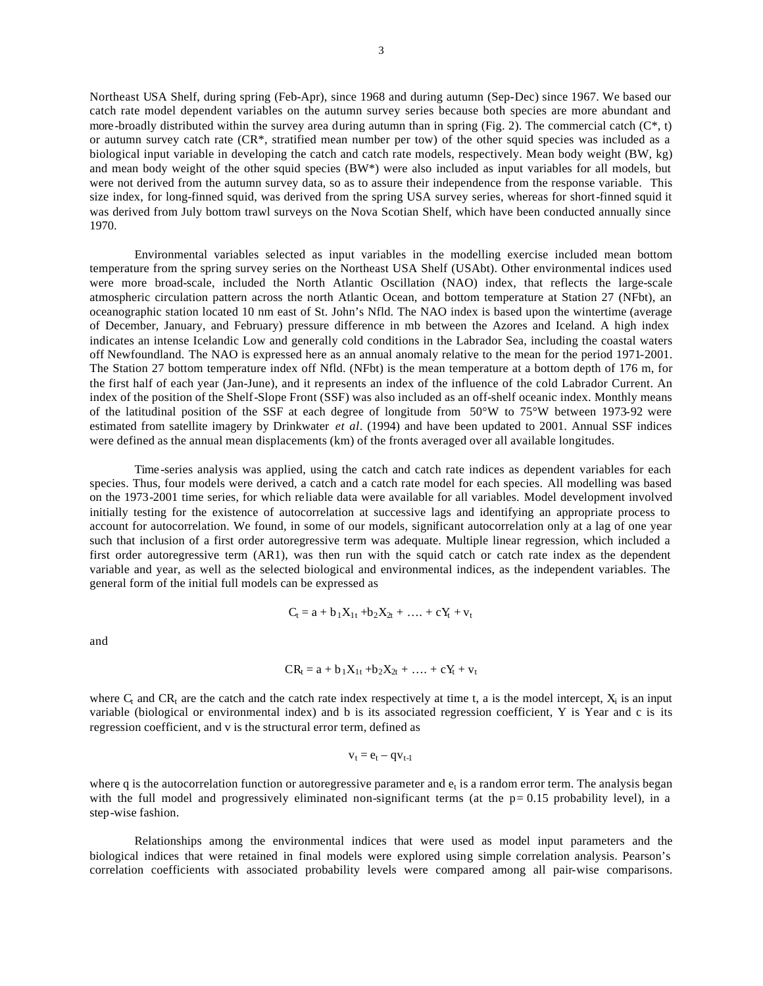Northeast USA Shelf, during spring (Feb-Apr), since 1968 and during autumn (Sep-Dec) since 1967. We based our catch rate model dependent variables on the autumn survey series because both species are more abundant and more -broadly distributed within the survey area during autumn than in spring (Fig. 2). The commercial catch ( $C^*$ , t) or autumn survey catch rate (CR\*, stratified mean number per tow) of the other squid species was included as a biological input variable in developing the catch and catch rate models, respectively. Mean body weight (BW, kg) and mean body weight of the other squid species (BW\*) were also included as input variables for all models, but were not derived from the autumn survey data, so as to assure their independence from the response variable. This size index, for long-finned squid, was derived from the spring USA survey series, whereas for short-finned squid it was derived from July bottom trawl surveys on the Nova Scotian Shelf, which have been conducted annually since 1970.

Environmental variables selected as input variables in the modelling exercise included mean bottom temperature from the spring survey series on the Northeast USA Shelf (USAbt). Other environmental indices used were more broad-scale, included the North Atlantic Oscillation (NAO) index, that reflects the large-scale atmospheric circulation pattern across the north Atlantic Ocean, and bottom temperature at Station 27 (NFbt), an oceanographic station located 10 nm east of St. John's Nfld. The NAO index is based upon the wintertime (average of December, January, and February) pressure difference in mb between the Azores and Iceland. A high index indicates an intense Icelandic Low and generally cold conditions in the Labrador Sea, including the coastal waters off Newfoundland. The NAO is expressed here as an annual anomaly relative to the mean for the period 1971-2001. The Station 27 bottom temperature index off Nfld. (NFbt) is the mean temperature at a bottom depth of 176 m, for the first half of each year (Jan-June), and it represents an index of the influence of the cold Labrador Current. An index of the position of the Shelf-Slope Front (SSF) was also included as an off-shelf oceanic index. Monthly means of the latitudinal position of the SSF at each degree of longitude from 50°W to 75°W between 1973-92 were estimated from satellite imagery by Drinkwater *et al*. (1994) and have been updated to 2001. Annual SSF indices were defined as the annual mean displacements (km) of the fronts averaged over all available longitudes.

Time -series analysis was applied, using the catch and catch rate indices as dependent variables for each species. Thus, four models were derived, a catch and a catch rate model for each species. All modelling was based on the 1973-2001 time series, for which reliable data were available for all variables. Model development involved initially testing for the existence of autocorrelation at successive lags and identifying an appropriate process to account for autocorrelation. We found, in some of our models, significant autocorrelation only at a lag of one year such that inclusion of a first order autoregressive term was adequate. Multiple linear regression, which included a first order autoregressive term (AR1), was then run with the squid catch or catch rate index as the dependent variable and year, as well as the selected biological and environmental indices, as the independent variables. The general form of the initial full models can be expressed as

$$
C_t = a + b_1 X_{1t} + b_2 X_{2t} + \ldots + c Y_t + v_t
$$

and

$$
CR_t = a + b_1X_{1t} + b_2X_{2t} + \ldots + cY_t + v_t
$$

where  $C_t$  and  $CR_t$  are the catch and the catch rate index respectively at time t, a is the model intercept,  $X_i$  is an input variable (biological or environmental index) and b is its associated regression coefficient, Y is Year and c is its regression coefficient, and v is the structural error term, defined as

$$
\boldsymbol{v}_t = \boldsymbol{e}_t - \boldsymbol{q} \boldsymbol{v}_{t\text{-}1}
$$

where q is the autocorrelation function or autoregressive parameter and  $e_t$  is a random error term. The analysis began with the full model and progressively eliminated non-significant terms (at the  $p= 0.15$  probability level), in a step-wise fashion.

Relationships among the environmental indices that were used as model input parameters and the biological indices that were retained in final models were explored using simple correlation analysis. Pearson's correlation coefficients with associated probability levels were compared among all pair-wise comparisons.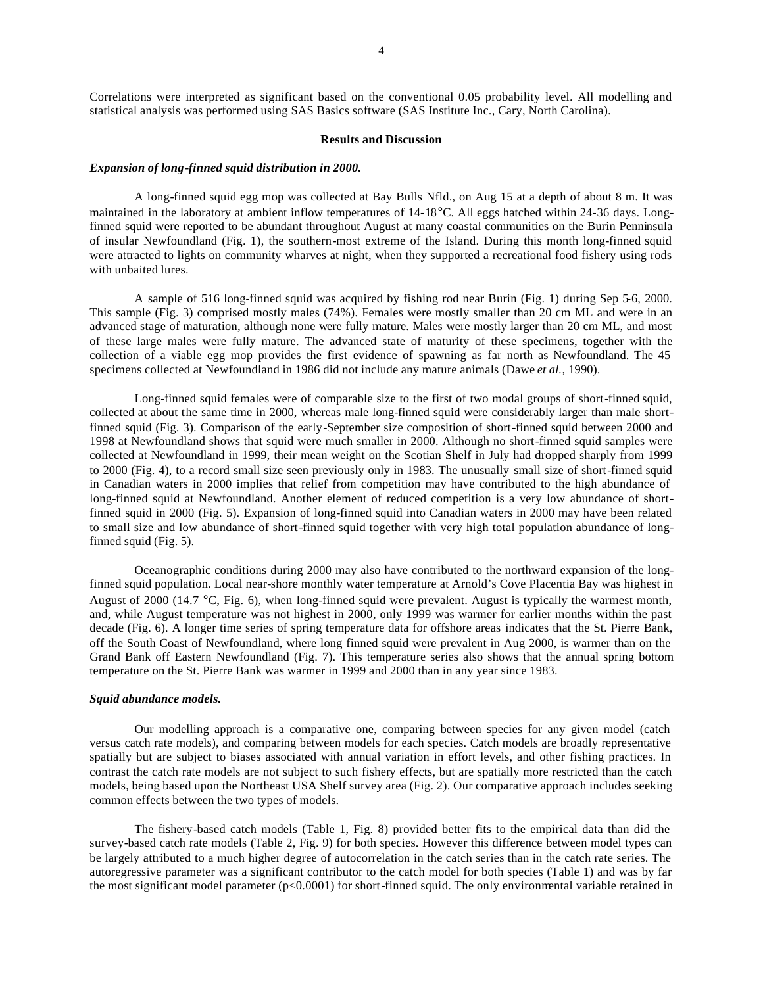#### **Results and Discussion**

#### *Expansion of long-finned squid distribution in 2000.*

A long-finned squid egg mop was collected at Bay Bulls Nfld., on Aug 15 at a depth of about 8 m. It was maintained in the laboratory at ambient inflow temperatures of 14-18°C. All eggs hatched within 24-36 days. Longfinned squid were reported to be abundant throughout August at many coastal communities on the Burin Penninsula of insular Newfoundland (Fig. 1), the southern-most extreme of the Island. During this month long-finned squid were attracted to lights on community wharves at night, when they supported a recreational food fishery using rods with unbaited lures.

A sample of 516 long-finned squid was acquired by fishing rod near Burin (Fig. 1) during Sep 5-6, 2000. This sample (Fig. 3) comprised mostly males (74%). Females were mostly smaller than 20 cm ML and were in an advanced stage of maturation, although none were fully mature. Males were mostly larger than 20 cm ML, and most of these large males were fully mature. The advanced state of maturity of these specimens, together with the collection of a viable egg mop provides the first evidence of spawning as far north as Newfoundland. The 45 specimens collected at Newfoundland in 1986 did not include any mature animals (Dawe *et al.,* 1990).

Long-finned squid females were of comparable size to the first of two modal groups of short-finned squid, collected at about the same time in 2000, whereas male long-finned squid were considerably larger than male shortfinned squid (Fig. 3). Comparison of the early-September size composition of short-finned squid between 2000 and 1998 at Newfoundland shows that squid were much smaller in 2000. Although no short-finned squid samples were collected at Newfoundland in 1999, their mean weight on the Scotian Shelf in July had dropped sharply from 1999 to 2000 (Fig. 4), to a record small size seen previously only in 1983. The unusually small size of short-finned squid in Canadian waters in 2000 implies that relief from competition may have contributed to the high abundance of long-finned squid at Newfoundland. Another element of reduced competition is a very low abundance of shortfinned squid in 2000 (Fig. 5). Expansion of long-finned squid into Canadian waters in 2000 may have been related to small size and low abundance of short-finned squid together with very high total population abundance of longfinned squid (Fig. 5).

Oceanographic conditions during 2000 may also have contributed to the northward expansion of the longfinned squid population. Local near-shore monthly water temperature at Arnold's Cove Placentia Bay was highest in August of 2000 (14.7 °C, Fig. 6), when long-finned squid were prevalent. August is typically the warmest month, and, while August temperature was not highest in 2000, only 1999 was warmer for earlier months within the past decade (Fig. 6). A longer time series of spring temperature data for offshore areas indicates that the St. Pierre Bank, off the South Coast of Newfoundland, where long finned squid were prevalent in Aug 2000, is warmer than on the Grand Bank off Eastern Newfoundland (Fig. 7). This temperature series also shows that the annual spring bottom temperature on the St. Pierre Bank was warmer in 1999 and 2000 than in any year since 1983.

#### *Squid abundance models.*

Our modelling approach is a comparative one, comparing between species for any given model (catch versus catch rate models), and comparing between models for each species. Catch models are broadly representative spatially but are subject to biases associated with annual variation in effort levels, and other fishing practices. In contrast the catch rate models are not subject to such fishery effects, but are spatially more restricted than the catch models, being based upon the Northeast USA Shelf survey area (Fig. 2). Our comparative approach includes seeking common effects between the two types of models.

The fishery-based catch models (Table 1, Fig. 8) provided better fits to the empirical data than did the survey-based catch rate models (Table 2, Fig. 9) for both species. However this difference between model types can be largely attributed to a much higher degree of autocorrelation in the catch series than in the catch rate series. The autoregressive parameter was a significant contributor to the catch model for both species (Table 1) and was by far the most significant model parameter (p<0.0001) for short-finned squid. The only environmental variable retained in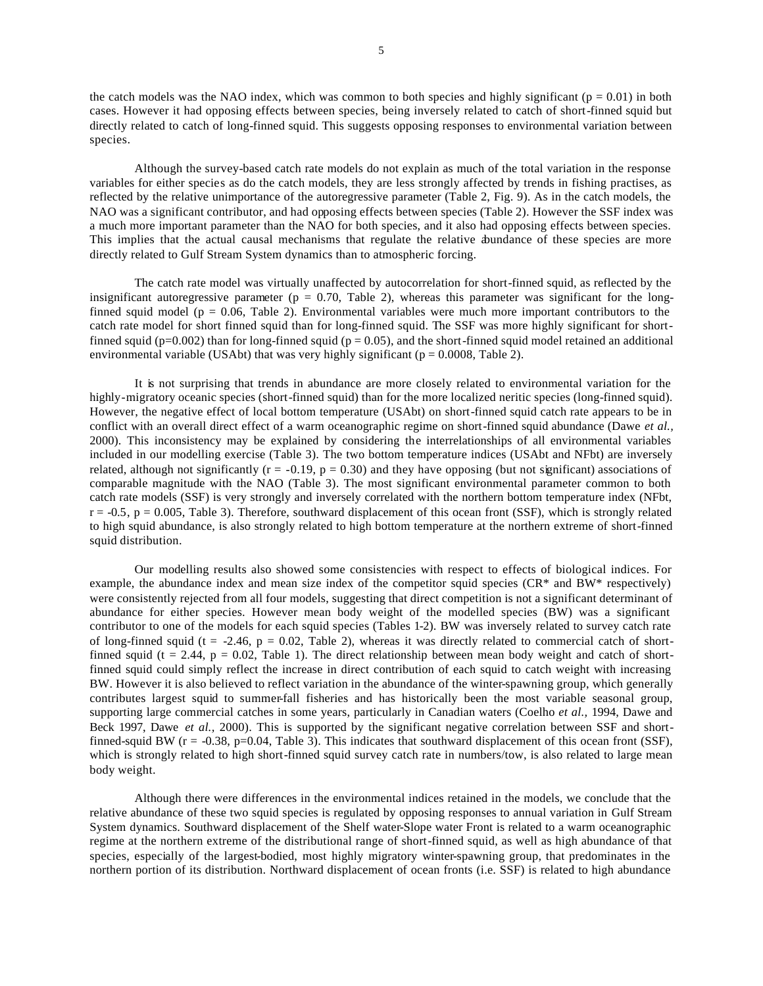the catch models was the NAO index, which was common to both species and highly significant ( $p = 0.01$ ) in both cases. However it had opposing effects between species, being inversely related to catch of short-finned squid but directly related to catch of long-finned squid. This suggests opposing responses to environmental variation between species.

Although the survey-based catch rate models do not explain as much of the total variation in the response variables for either species as do the catch models, they are less strongly affected by trends in fishing practises, as reflected by the relative unimportance of the autoregressive parameter (Table 2, Fig. 9). As in the catch models, the NAO was a significant contributor, and had opposing effects between species (Table 2). However the SSF index was a much more important parameter than the NAO for both species, and it also had opposing effects between species. This implies that the actual causal mechanisms that regulate the relative abundance of these species are more directly related to Gulf Stream System dynamics than to atmospheric forcing.

The catch rate model was virtually unaffected by autocorrelation for short-finned squid, as reflected by the insignificant autoregressive parameter ( $p = 0.70$ , Table 2), whereas this parameter was significant for the longfinned squid model ( $p = 0.06$ , Table 2). Environmental variables were much more important contributors to the catch rate model for short finned squid than for long-finned squid. The SSF was more highly significant for shortfinned squid ( $p=0.002$ ) than for long-finned squid ( $p = 0.05$ ), and the short-finned squid model retained an additional environmental variable (USAbt) that was very highly significant ( $p = 0.0008$ , Table 2).

It is not surprising that trends in abundance are more closely related to environmental variation for the highly-migratory oceanic species (short-finned squid) than for the more localized neritic species (long-finned squid). However, the negative effect of local bottom temperature (USAbt) on short-finned squid catch rate appears to be in conflict with an overall direct effect of a warm oceanographic regime on short-finned squid abundance (Dawe *et al.,* 2000). This inconsistency may be explained by considering the interrelationships of all environmental variables included in our modelling exercise (Table 3). The two bottom temperature indices (USAbt and NFbt) are inversely related, although not significantly ( $r = -0.19$ ,  $p = 0.30$ ) and they have opposing (but not significant) associations of comparable magnitude with the NAO (Table 3). The most significant environmental parameter common to both catch rate models (SSF) is very strongly and inversely correlated with the northern bottom temperature index (NFbt,  $r = -0.5$ ,  $p = 0.005$ , Table 3). Therefore, southward displacement of this ocean front (SSF), which is strongly related to high squid abundance, is also strongly related to high bottom temperature at the northern extreme of short-finned squid distribution.

Our modelling results also showed some consistencies with respect to effects of biological indices. For example, the abundance index and mean size index of the competitor squid species (CR\* and BW\* respectively) were consistently rejected from all four models, suggesting that direct competition is not a significant determinant of abundance for either species. However mean body weight of the modelled species (BW) was a significant contributor to one of the models for each squid species (Tables 1-2). BW was inversely related to survey catch rate of long-finned squid (t = -2.46,  $p = 0.02$ , Table 2), whereas it was directly related to commercial catch of shortfinned squid (t = 2.44, p = 0.02, Table 1). The direct relationship between mean body weight and catch of shortfinned squid could simply reflect the increase in direct contribution of each squid to catch weight with increasing BW. However it is also believed to reflect variation in the abundance of the winter-spawning group, which generally contributes largest squid to summer-fall fisheries and has historically been the most variable seasonal group, supporting large commercial catches in some years, particularly in Canadian waters (Coelho *et al.,* 1994, Dawe and Beck 1997, Dawe *et al.,* 2000). This is supported by the significant negative correlation between SSF and shortfinned-squid BW ( $r = -0.38$ ,  $p=0.04$ , Table 3). This indicates that southward displacement of this ocean front (SSF), which is strongly related to high short-finned squid survey catch rate in numbers/tow, is also related to large mean body weight.

Although there were differences in the environmental indices retained in the models, we conclude that the relative abundance of these two squid species is regulated by opposing responses to annual variation in Gulf Stream System dynamics. Southward displacement of the Shelf water-Slope water Front is related to a warm oceanographic regime at the northern extreme of the distributional range of short-finned squid, as well as high abundance of that species, especially of the largest-bodied, most highly migratory winter-spawning group, that predominates in the northern portion of its distribution. Northward displacement of ocean fronts (i.e. SSF) is related to high abundance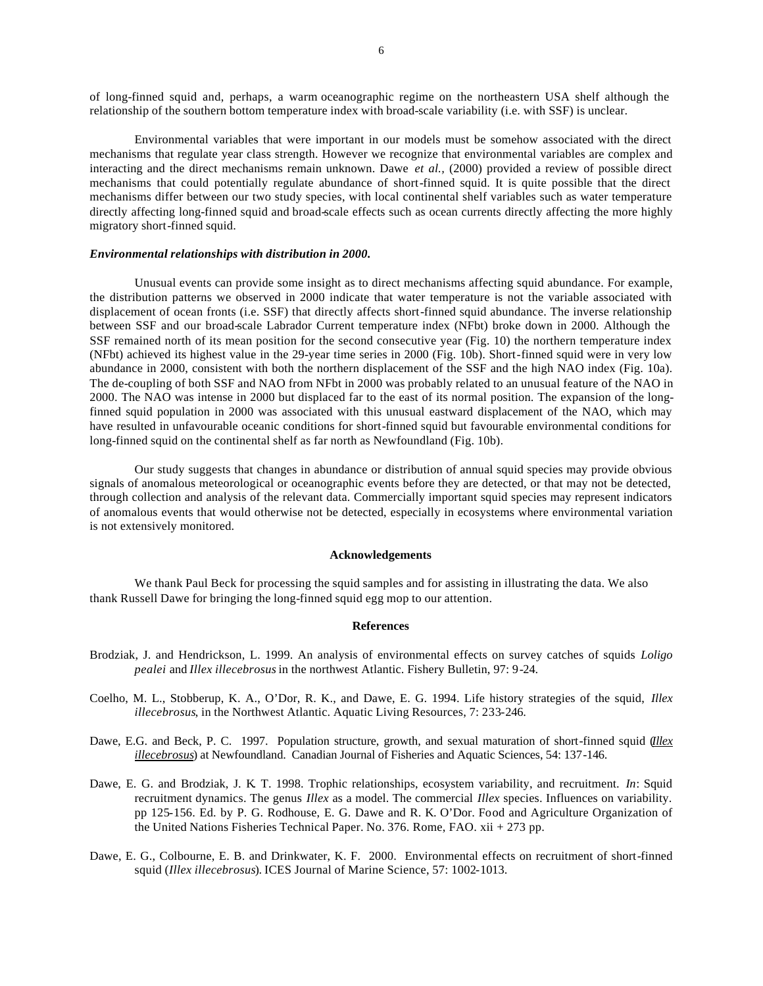of long-finned squid and, perhaps, a warm oceanographic regime on the northeastern USA shelf although the relationship of the southern bottom temperature index with broad-scale variability (i.e. with SSF) is unclear.

Environmental variables that were important in our models must be somehow associated with the direct mechanisms that regulate year class strength. However we recognize that environmental variables are complex and interacting and the direct mechanisms remain unknown. Dawe *et al.,* (2000) provided a review of possible direct mechanisms that could potentially regulate abundance of short-finned squid. It is quite possible that the direct mechanisms differ between our two study species, with local continental shelf variables such as water temperature directly affecting long-finned squid and broad-scale effects such as ocean currents directly affecting the more highly migratory short-finned squid.

## *Environmental relationships with distribution in 2000.*

Unusual events can provide some insight as to direct mechanisms affecting squid abundance. For example, the distribution patterns we observed in 2000 indicate that water temperature is not the variable associated with displacement of ocean fronts (i.e. SSF) that directly affects short-finned squid abundance. The inverse relationship between SSF and our broad-scale Labrador Current temperature index (NFbt) broke down in 2000. Although the SSF remained north of its mean position for the second consecutive year (Fig. 10) the northern temperature index (NFbt) achieved its highest value in the 29-year time series in 2000 (Fig. 10b). Short-finned squid were in very low abundance in 2000, consistent with both the northern displacement of the SSF and the high NAO index (Fig. 10a). The de-coupling of both SSF and NAO from NFbt in 2000 was probably related to an unusual feature of the NAO in 2000. The NAO was intense in 2000 but displaced far to the east of its normal position. The expansion of the longfinned squid population in 2000 was associated with this unusual eastward displacement of the NAO, which may have resulted in unfavourable oceanic conditions for short-finned squid but favourable environmental conditions for long-finned squid on the continental shelf as far north as Newfoundland (Fig. 10b).

Our study suggests that changes in abundance or distribution of annual squid species may provide obvious signals of anomalous meteorological or oceanographic events before they are detected, or that may not be detected, through collection and analysis of the relevant data. Commercially important squid species may represent indicators of anomalous events that would otherwise not be detected, especially in ecosystems where environmental variation is not extensively monitored.

#### **Acknowledgements**

We thank Paul Beck for processing the squid samples and for assisting in illustrating the data. We also thank Russell Dawe for bringing the long-finned squid egg mop to our attention.

#### **References**

- Brodziak, J. and Hendrickson, L. 1999. An analysis of environmental effects on survey catches of squids *Loligo pealei* and *Illex illecebrosus* in the northwest Atlantic. Fishery Bulletin, 97: 9-24.
- Coelho, M. L., Stobberup, K. A., O'Dor, R. K., and Dawe, E. G. 1994. Life history strategies of the squid, *Illex illecebrosus*, in the Northwest Atlantic. Aquatic Living Resources, 7: 233-246.
- Dawe, E.G. and Beck, P. C. 1997. Population structure, growth, and sexual maturation of short-finned squid (*Illex illecebrosus*) at Newfoundland. Canadian Journal of Fisheries and Aquatic Sciences, 54: 137-146.
- Dawe, E. G. and Brodziak, J. K. T. 1998. Trophic relationships, ecosystem variability, and recruitment. *In*: Squid recruitment dynamics. The genus *Illex* as a model. The commercial *Illex* species. Influences on variability. pp 125-156. Ed. by P. G. Rodhouse, E. G. Dawe and R. K. O'Dor. Food and Agriculture Organization of the United Nations Fisheries Technical Paper. No. 376. Rome, FAO. xii + 273 pp.
- Dawe, E. G., Colbourne, E. B. and Drinkwater, K. F. 2000. Environmental effects on recruitment of short-finned squid (*Illex illecebrosus*). ICES Journal of Marine Science, 57: 1002-1013.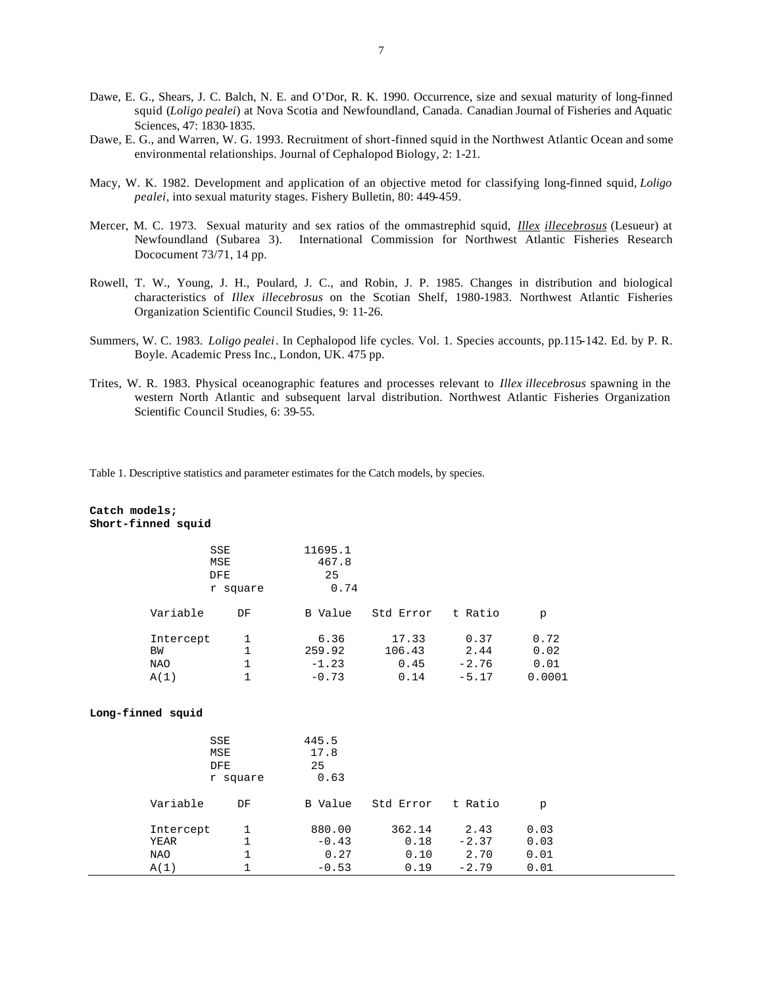- Dawe, E. G., Shears, J. C. Balch, N. E. and O'Dor, R. K. 1990. Occurrence, size and sexual maturity of long-finned squid (*Loligo pealei*) at Nova Scotia and Newfoundland, Canada. Canadian Journal of Fisheries and Aquatic Sciences, 47: 1830-1835.
- Dawe, E. G., and Warren, W. G. 1993. Recruitment of short-finned squid in the Northwest Atlantic Ocean and some environmental relationships. Journal of Cephalopod Biology, 2: 1-21.
- Macy, W. K. 1982. Development and application of an objective metod for classifying long-finned squid, *Loligo pealei*, into sexual maturity stages. Fishery Bulletin, 80: 449-459.
- Mercer, M. C. 1973. Sexual maturity and sex ratios of the ommastrephid squid, *Illex illecebrosus* (Lesueur) at Newfoundland (Subarea 3). International Commission for Northwest Atlantic Fisheries Research Dococument 73/71, 14 pp.
- Rowell, T. W., Young, J. H., Poulard, J. C., and Robin, J. P. 1985. Changes in distribution and biological characteristics of *Illex illecebrosus* on the Scotian Shelf, 1980-1983. Northwest Atlantic Fisheries Organization Scientific Council Studies, 9: 11-26.
- Summers, W. C. 1983. *Loligo pealei*. In Cephalopod life cycles. Vol. 1. Species accounts, pp.115-142. Ed. by P. R. Boyle. Academic Press Inc., London, UK. 475 pp.
- Trites, W. R. 1983. Physical oceanographic features and processes relevant to *Illex illecebrosus* spawning in the western North Atlantic and subsequent larval distribution. Northwest Atlantic Fisheries Organization Scientific Council Studies, 6: 39-55.

Table 1. Descriptive statistics and parameter estimates for the Catch models, by species.

# **Catch models; Short-finned squid**

|            | SSE<br>MSE<br><b>DFE</b><br>r square |         |           |         |        |
|------------|--------------------------------------|---------|-----------|---------|--------|
| Variable   | DF                                   | B Value | Std Error | t Ratio | p      |
| Intercept  | 1                                    | 6.36    | 17.33     | 0.37    | 0.72   |
| ΒW         |                                      | 259.92  | 106.43    | 2.44    | 0.02   |
| <b>NAO</b> |                                      | $-1.23$ | 0.45      | $-2.76$ | 0.01   |
| A(1)       |                                      | $-0.73$ | 0.14      | $-5.17$ | 0.0001 |

#### **Long-finned squid**

|                   | SSE<br>MSE<br><b>DFE</b><br>r square | 445.5<br>17.8<br>25<br>0.63 |                |                 |              |
|-------------------|--------------------------------------|-----------------------------|----------------|-----------------|--------------|
| Variable          | DF                                   | B Value                     | Std Error      | t Ratio         | p            |
| Intercept<br>YEAR | 1<br>1                               | 880.00<br>$-0.43$           | 362.14<br>0.18 | 2.43<br>$-2.37$ | 0.03<br>0.03 |
| <b>NAO</b>        |                                      | 0.27                        | 0.10           | 2.70            | 0.01         |
| A(1)              |                                      | $-0.53$                     | 0.19           | $-2.79$         | 0.01         |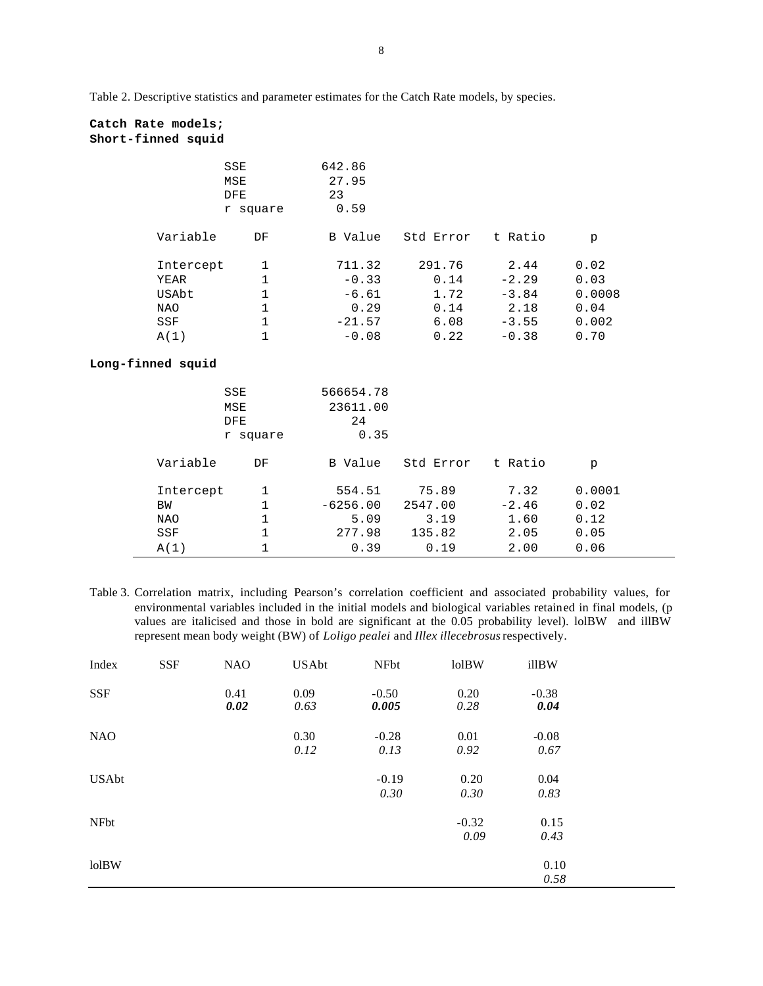Table 2. Descriptive statistics and parameter estimates for the Catch Rate models, by species.

# **Catch Rate models; Short-finned squid**

|                                    | SSE<br>MSE<br><b>DFE</b><br>r square        | 642.86<br>27.95<br>23<br>0.59          |                              |                                       |                                 |
|------------------------------------|---------------------------------------------|----------------------------------------|------------------------------|---------------------------------------|---------------------------------|
| Variable                           | DF                                          | B Value                                | Std Error                    | t Ratio                               | p                               |
| Intercept<br>YEAR                  | 1<br>$\mathbf{1}$<br>$\mathbf{1}$           | 711.32<br>$-0.33$                      | 291.76<br>0.14               | 2.44<br>$-2.29$                       | 0.02<br>0.03                    |
| USAbt<br><b>NAO</b><br>SSF<br>A(1) | $\mathbf{1}$<br>$\mathbf 1$<br>$\mathbf{1}$ | $-6.61$<br>0.29<br>$-21.57$<br>$-0.08$ | 1.72<br>0.14<br>6.08<br>0.22 | $-3.84$<br>2.18<br>$-3.55$<br>$-0.38$ | 0.0008<br>0.04<br>0.002<br>0.70 |
| Long-finned squid                  |                                             |                                        |                              |                                       |                                 |
|                                    | SSE                                         | 566654.78                              |                              |                                       |                                 |

|           | MSE<br><b>DFE</b><br>r square | 23611.00<br>24<br>0.35 |           |         |        |  |
|-----------|-------------------------------|------------------------|-----------|---------|--------|--|
| Variable  | DF                            | B Value                | Std Error | t Ratio | p      |  |
| Intercept |                               | 554.51                 | 75.89     | 7.32    | 0.0001 |  |
| BW        |                               | $-6256.00$             | 2547.00   | $-2.46$ | 0.02   |  |
| NAO       |                               | 5.09                   | 3.19      | 1.60    | 0.12   |  |
| SSF       |                               | 277.98                 | 135.82    | 2.05    | 0.05   |  |
| A(1)      |                               | 0.39                   | 0.19      | 2.00    | 0.06   |  |

Table 3. Correlation matrix, including Pearson's correlation coefficient and associated probability values, for environmental variables included in the initial models and biological variables retained in final models, (p values are italicised and those in bold are significant at the 0.05 probability level). lolBW and illBW represent mean body weight (BW) of *Loligo pealei* and *Illex illecebrosus* respectively.

| Index        | <b>SSF</b> | <b>NAO</b>   | <b>USAbt</b> | NFbt             | <b>lolBW</b>    | illBW           |
|--------------|------------|--------------|--------------|------------------|-----------------|-----------------|
| <b>SSF</b>   |            | 0.41<br>0.02 | 0.09<br>0.63 | $-0.50$<br>0.005 | 0.20<br>0.28    | $-0.38$<br>0.04 |
| <b>NAO</b>   |            |              | 0.30<br>0.12 | $-0.28$<br>0.13  | 0.01<br>0.92    | $-0.08$<br>0.67 |
| <b>USAbt</b> |            |              |              | $-0.19$<br>0.30  | 0.20<br>0.30    | 0.04<br>0.83    |
| <b>NFbt</b>  |            |              |              |                  | $-0.32$<br>0.09 | 0.15<br>0.43    |
| <b>lolBW</b> |            |              |              |                  |                 | 0.10<br>0.58    |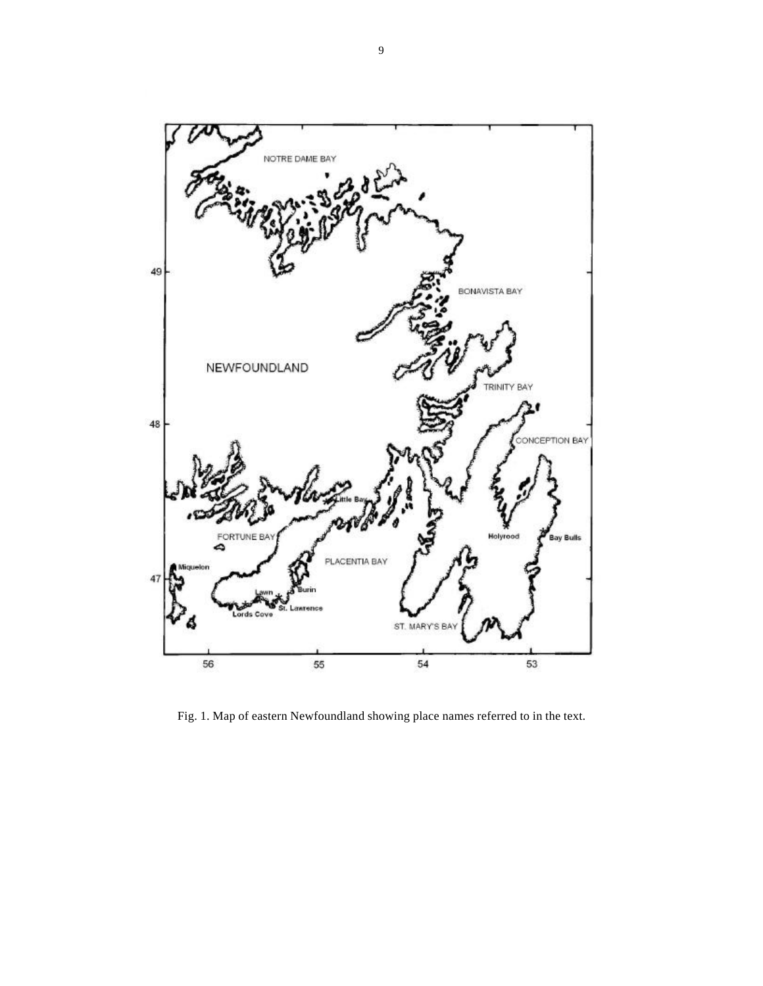

Fig. 1. Map of eastern Newfoundland showing place names referred to in the text.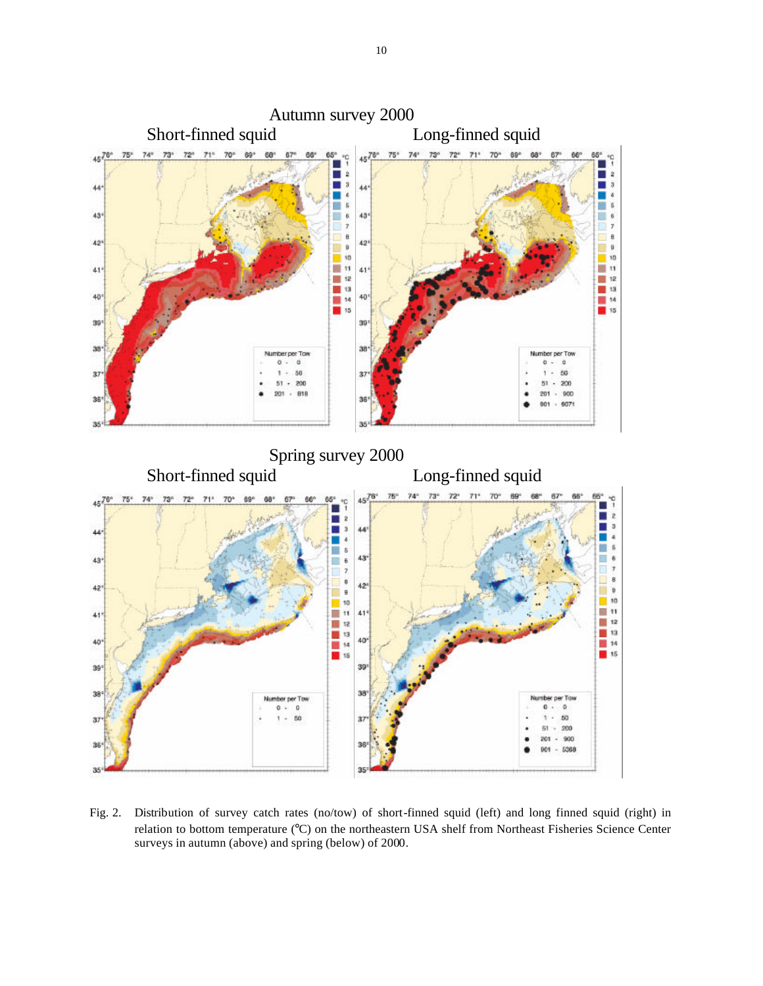

Fig. 2. Distribution of survey catch rates (no/tow) of short-finned squid (left) and long finned squid (right) in relation to bottom temperature (°C) on the northeastern USA shelf from Northeast Fisheries Science Center surveys in autumn (above) and spring (below) of 2000.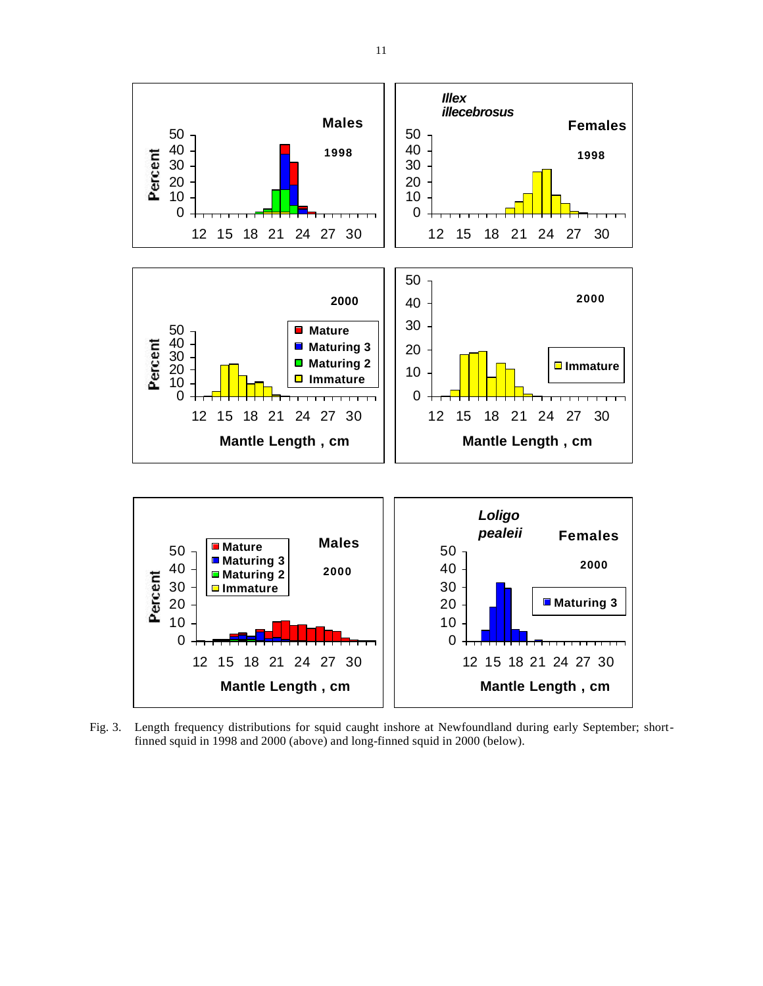

Fig. 3. Length frequency distributions for squid caught inshore at Newfoundland during early September; shortfinned squid in 1998 and 2000 (above) and long-finned squid in 2000 (below).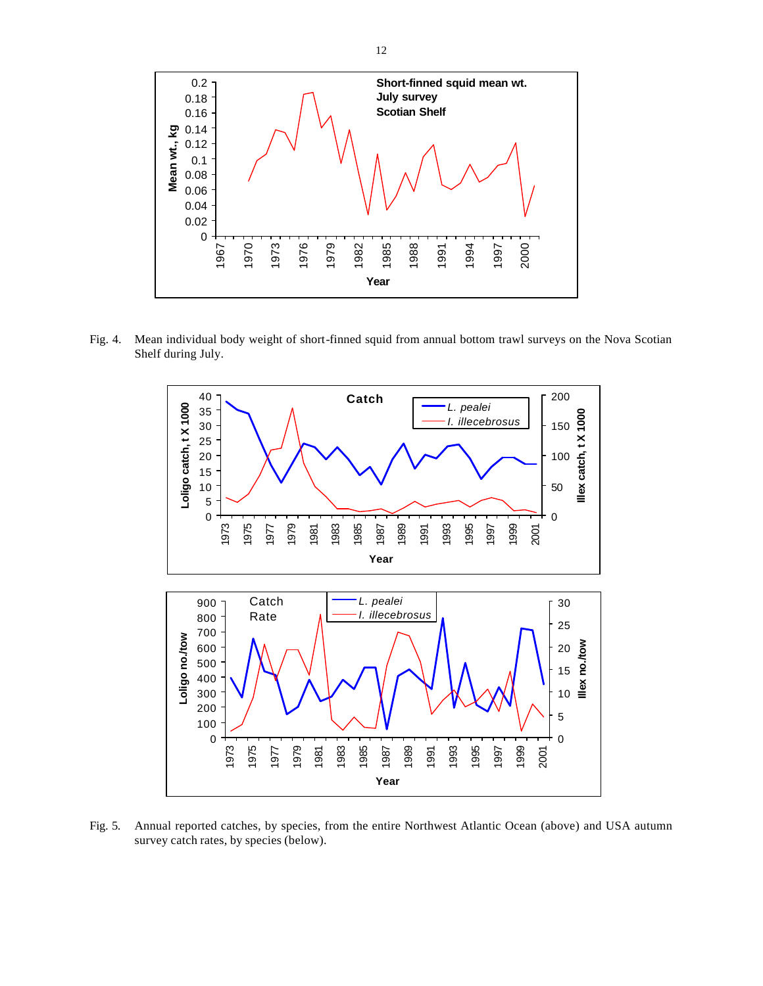

Fig. 4. Mean individual body weight of short-finned squid from annual bottom trawl surveys on the Nova Scotian Shelf during July.



Fig. 5. Annual reported catches, by species, from the entire Northwest Atlantic Ocean (above) and USA autumn survey catch rates, by species (below).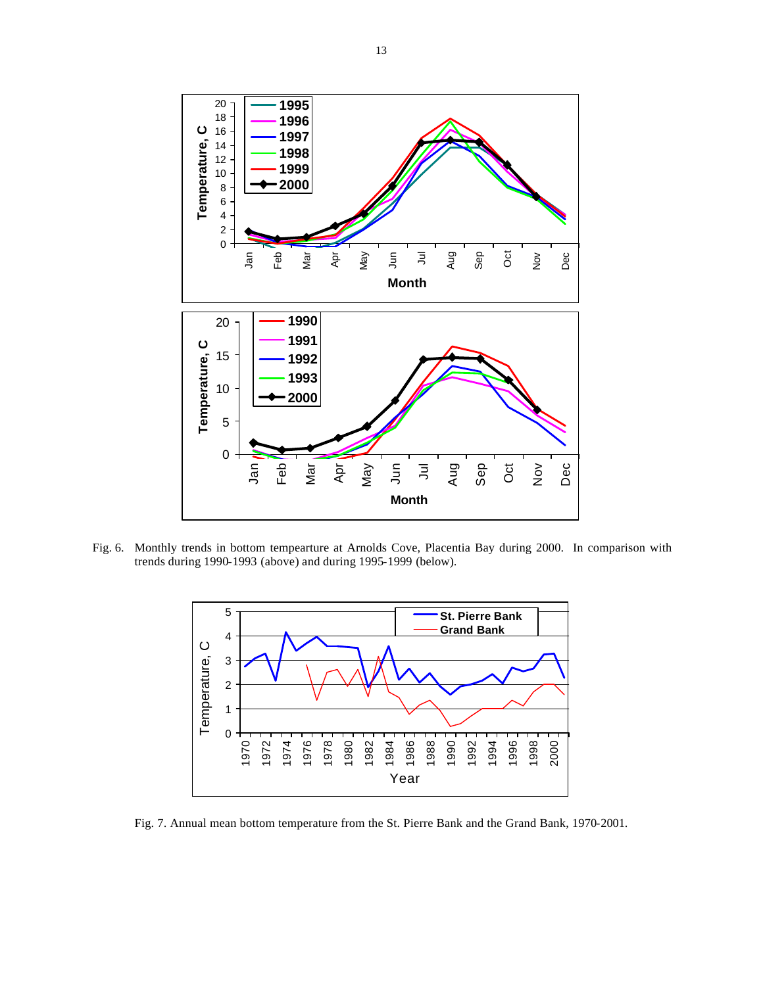

 Fig. 6. Monthly trends in bottom tempearture at Arnolds Cove, Placentia Bay during 2000. In comparison with trends during 1990-1993 (above) and during 1995-1999 (below).



Fig. 7. Annual mean bottom temperature from the St. Pierre Bank and the Grand Bank, 1970-2001.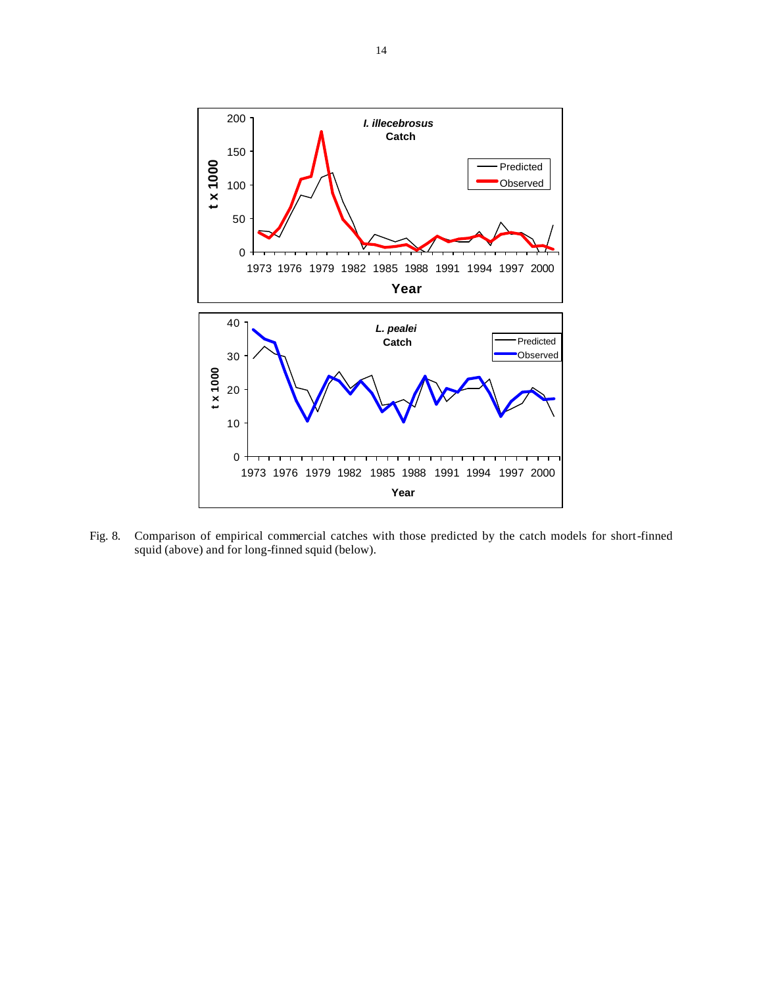

Fig. 8. Comparison of empirical commercial catches with those predicted by the catch models for short-finned squid (above) and for long-finned squid (below).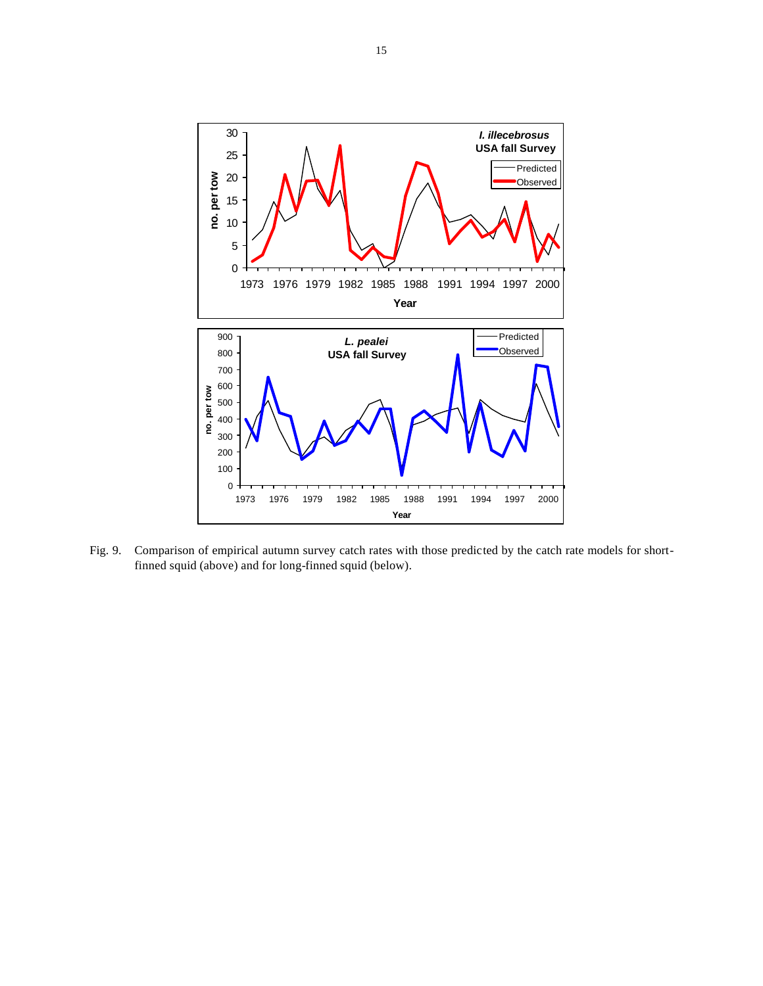

Fig. 9. Comparison of empirical autumn survey catch rates with those predicted by the catch rate models for shortfinned squid (above) and for long-finned squid (below).